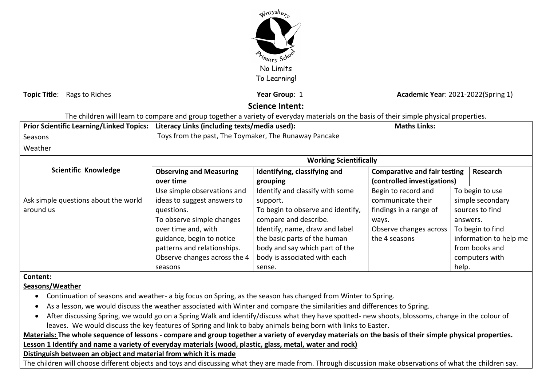

**Topic Title**: Rags to Riches **Year Group**: 1 *Year Group***: 1 <b>Academic Year:** 2021-2022(Spring 1)

# **Science Intent:**

The children will learn to compare and group together a variety of everyday materials on the basis of their simple physical properties.

| <b>Prior Scientific Learning/Linked Topics:</b> | Literacy Links (including texts/media used):          |                                   |       | <b>Maths Links:</b>                                                                   |                                     |                 |  |
|-------------------------------------------------|-------------------------------------------------------|-----------------------------------|-------|---------------------------------------------------------------------------------------|-------------------------------------|-----------------|--|
| Seasons                                         | Toys from the past, The Toymaker, The Runaway Pancake |                                   |       |                                                                                       |                                     |                 |  |
| Weather                                         |                                                       |                                   |       |                                                                                       |                                     |                 |  |
|                                                 | <b>Working Scientifically</b>                         |                                   |       |                                                                                       |                                     |                 |  |
| <b>Scientific Knowledge</b>                     | <b>Observing and Measuring</b>                        | Identifying, classifying and      |       | <b>Comparative and fair testing</b>                                                   |                                     | Research        |  |
|                                                 | over time                                             | grouping                          |       | (controlled investigations)                                                           |                                     |                 |  |
|                                                 | Use simple observations and                           | Identify and classify with some   |       | Begin to record and                                                                   | To begin to use<br>simple secondary |                 |  |
| Ask simple questions about the world            | ideas to suggest answers to                           | support.                          |       | communicate their                                                                     |                                     |                 |  |
| around us                                       | questions.                                            | To begin to observe and identify, |       | findings in a range of                                                                |                                     | sources to find |  |
|                                                 | To observe simple changes                             | compare and describe.             | ways. |                                                                                       |                                     | answers.        |  |
|                                                 | over time and, with                                   | Identify, name, draw and label    |       | Observe changes across<br>To begin to find<br>information to help me<br>the 4 seasons |                                     |                 |  |
|                                                 | guidance, begin to notice                             | the basic parts of the human      |       |                                                                                       |                                     |                 |  |
|                                                 | patterns and relationships.                           | body and say which part of the    |       |                                                                                       | from books and                      |                 |  |
|                                                 | Observe changes across the 4                          | body is associated with each      |       | computers with                                                                        |                                     |                 |  |
|                                                 | seasons                                               | sense.                            |       |                                                                                       | help.                               |                 |  |

**Content:**

**Seasons/Weather**

- Continuation of seasons and weather- a big focus on Spring, as the season has changed from Winter to Spring.
- As a lesson, we would discuss the weather associated with Winter and compare the similarities and differences to Spring.
- After discussing Spring, we would go on a Spring Walk and identify/discuss what they have spotted- new shoots, blossoms, change in the colour of leaves. We would discuss the key features of Spring and link to baby animals being born with links to Easter.

# **Materials: The whole sequence of lessons - compare and group together a variety of everyday materials on the basis of their simple physical properties. Lesson 1 Identify and name a variety of everyday materials (wood, plastic, glass, metal, water and rock)**

**Distinguish between an object and material from which it is made**

The children will choose different objects and toys and discussing what they are made from. Through discussion make observations of what the children say.